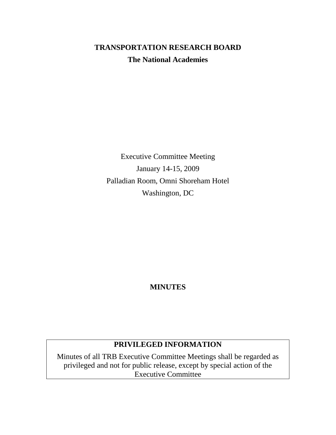# **TRANSPORTATION RESEARCH BOARD The National Academies**

Executive Committee Meeting January 14-15, 2009 Palladian Room, Omni Shoreham Hotel Washington, DC

## **MINUTES**

## **PRIVILEGED INFORMATION**

Minutes of all TRB Executive Committee Meetings shall be regarded as privileged and not for public release, except by special action of the Executive Committee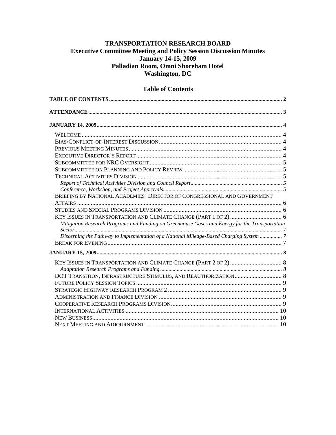## **TRANSPORTATION RESEARCH BOARD Executive Committee Meeting and Policy Session Discussion Minutes January 14-15, 2009 Palladian Room, Omni Shoreham Hotel Washington, DC**

## <span id="page-1-0"></span>**TABLE OF CONTENTS [.............................................................................................................................](#page-1-0) 2 [ATTENDANCE............................................................................................................................................](#page-2-0) 3 [JANUARY 14, 2009......................................................................................................................................](#page-3-0) 4** WELCOME [....................................................................................................................................](#page-3-1) 4 [BIAS/CONFLICT-OF-INTEREST DISCUSSION.................................................................................](#page-3-2) 4 [PREVIOUS MEETING MINUTES.....................................................................................................](#page-3-3) 4 [EXECUTIVE DIRECTOR'S REPORT................................................................................................](#page-3-4) 4 SUBCOMMITTEE FOR NRC OVERSIGHT [.......................................................................................](#page-4-0) 5 [SUBCOMMITTEE ON PLANNING AND POLICY REVIEW.................................................................](#page-4-1) 5 TECHNICAL ACTIVITIES DIVISION [...............................................................................................](#page-4-2) 5 *[Report of Technical Activities Division and Council Report..................................................................](#page-4-3) 5 [Conference, Workshop, and Project Approvals......................................................................................](#page-4-4) 5* BRIEFING BY NATIONAL ACADEMIES' [DIRECTOR OF CONGRESSIONAL AND GOVERNMENT](#page-5-0)  AFFAIRS [.......................................................................................................................................](#page-5-0) 6 STUDIES AND SPECIAL PROGRAMS DIVISION [..............................................................................](#page-5-1) 6 [KEY ISSUES IN TRANSPORTATION AND CLIMATE](#page-5-2) CHANGE (PART 1 OF 2).................................. 6 *[Mitigation Research Programs and Funding on Greenhouse Gases and Energy for the Transportation](#page-6-0)  [Sector......................................................................................................................................................](#page-6-0) 7 [Discerning the Pathway to Implementation of a National Mileage-Based Charging System](#page-6-1) ................ 7* [BREAK FOR EVENING...................................................................................................................](#page-6-2) 7 **[JANUARY 15, 2009......................................................................................................................................](#page-7-0) 8** [KEY ISSUES IN TRANSPORTATION AND CLIMATE CHANGE \(PART 2](#page-7-1) OF 2).................................. 8 *Adaptation Research Programs and Funding [........................................................................................](#page-7-2) 8* DOT TRANSITION, INFRASTRUCTURE STIMULUS, [AND REAUTHORIZATION...............................](#page-7-3) 8 FUTURE POLICY SESSION TOPICS [................................................................................................](#page-8-0) 9 STRATEGIC HIGHWAY RESEARCH PROGRAM 2 [...........................................................................](#page-8-1) 9 ADMINISTRATION AND FINANCE DIVISION [.................................................................................](#page-8-2) 9 [COOPERATIVE RESEARCH PROGRAMS DIVISION.........................................................................](#page-8-3) 9 INTERNATIONAL ACTIVITIES [.....................................................................................................](#page-9-0) 10 [NEW BUSINESS...........................................................................................................................](#page-9-1) 10 NEXT MEETING AND ADJOURNMENT [........................................................................................](#page-9-2) 10

#### **Table of Contents**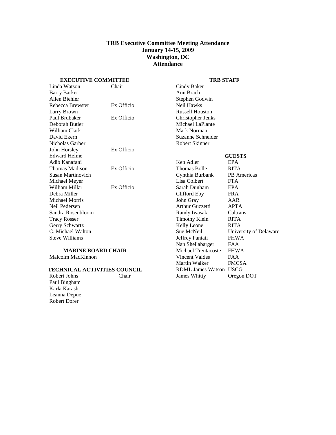#### **TRB Executive Committee Meeting Attendance January 14-15, 2009 Washington, DC Attendance**

<span id="page-2-0"></span>**EXECUTIVE COMMITTEE**

#### **TRB STAFF**

James Whitty Oregon DOT

| Linda Watson                        | Chair      | Cindy Baker                   |                        |
|-------------------------------------|------------|-------------------------------|------------------------|
| <b>Barry Barker</b>                 |            | Ann Brach                     |                        |
| Allen Biehler                       |            | Stephen Godwin                |                        |
| Rebecca Brewster                    | Ex Officio | Neil Hawks                    |                        |
| Larry Brown                         |            | <b>Russell Houston</b>        |                        |
| Paul Brubaker                       | Ex Officio | Christopher Jenks             |                        |
| Deborah Butler                      |            | Michael LaPlante              |                        |
| William Clark                       |            | Mark Norman                   |                        |
| David Ekern                         |            | Suzanne Schneider             |                        |
| Nicholas Garber                     |            | <b>Robert Skinner</b>         |                        |
| John Horsley                        | Ex Officio |                               |                        |
| <b>Edward Helme</b>                 |            |                               | <b>GUESTS</b>          |
| Adib Kanafani                       |            | Ken Adler                     | <b>EPA</b>             |
| Thomas Madison                      | Ex Officio | <b>Thomas Bolle</b>           | <b>RITA</b>            |
| Susan Martinovich                   |            | Cynthia Burbank               | PB Americas            |
| Michael Meyer                       |            | Lisa Colbert                  | <b>FTA</b>             |
| William Millar                      | Ex Officio | Sarah Dunham                  | EPA                    |
| Debra Miller                        |            | Clifford Eby                  | <b>FRA</b>             |
| Michael Morris                      |            | John Gray                     | AAR                    |
| Neil Pedersen                       |            | Arthur Guzzetti               | <b>APTA</b>            |
| Sandra Rosenbloom                   |            | Randy Iwasaki                 | Caltrans               |
| <b>Tracy Rosser</b>                 |            | <b>Timothy Klein</b>          | <b>RITA</b>            |
| Gerry Schwartz                      |            | Kelly Leone                   | <b>RITA</b>            |
| C. Michael Walton                   |            | Sue McNeil                    | University of Delaware |
| <b>Steve Williams</b>               |            | Jeffrey Paniati               | <b>FHWA</b>            |
|                                     |            | Nan Shellabarger              | <b>FAA</b>             |
| <b>MARINE BOARD CHAIR</b>           |            | Michael Trentacoste           | <b>FHWA</b>            |
| Malcolm MacKinnon                   |            | Vincent Valdes                | <b>FAA</b>             |
|                                     |            | Martin Walker                 | <b>FMCSA</b>           |
| <b>TECHNICAL ACTIVITIES COUNCIL</b> |            | <b>RDML James Watson USCG</b> |                        |
| Robert Johns                        | Chair      | <b>James Whitty</b>           | Oregon DOT             |

Robert Johns Paul Bingham Karla Karash Leanna Depue Robert Dorer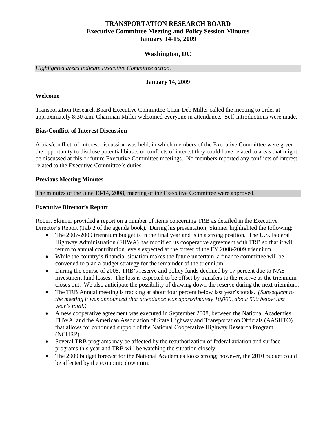## **TRANSPORTATION RESEARCH BOARD Executive Committee Meeting and Policy Session Minutes January 14-15, 2009**

#### **Washington, DC**

<span id="page-3-0"></span>*Highlighted areas indicate Executive Committee action.*

#### **January 14, 2009**

#### <span id="page-3-1"></span>**Welcome**

Transportation Research Board Executive Committee Chair Deb Miller called the meeting to order at approximately 8:30 a.m. Chairman Miller welcomed everyone in attendance. Self-introductions were made.

#### <span id="page-3-2"></span>**Bias/Conflict-of-Interest Discussion**

A bias/conflict–of-interest discussion was held, in which members of the Executive Committee were given the opportunity to disclose potential biases or conflicts of interest they could have related to areas that might be discussed at this or future Executive Committee meetings. No members reported any conflicts of interest related to the Executive Committee's duties.

#### <span id="page-3-3"></span>**Previous Meeting Minutes**

The minutes of the June 13-14, 2008, meeting of the Executive Committee were approved.

#### <span id="page-3-4"></span>**Executive Director's Report**

Robert Skinner provided a report on a number of items concerning TRB as detailed in the Executive Director's Report (Tab 2 of the agenda book). During his presentation, Skinner highlighted the following:

- The 2007-2009 triennium budget is in the final year and is in a strong position. The U.S. Federal Highway Administration (FHWA) has modified its cooperative agreement with TRB so that it will return to annual contribution levels expected at the outset of the FY 2008-2009 triennium.
- While the country's financial situation makes the future uncertain, a finance committee will be convened to plan a budget strategy for the remainder of the triennium.
- During the course of 2008, TRB's reserve and policy funds declined by 17 percent due to NAS investment fund losses. The loss is expected to be offset by transfers to the reserve as the triennium closes out. We also anticipate the possibility of drawing down the reserve during the next triennium.
- The TRB Annual meeting is tracking at about four percent below last year's totals. *(Subsequent to the meeting it was announced that attendance was approximately 10,000, about 500 below last year's total.)*
- A new cooperative agreement was executed in September 2008, between the National Academies, FHWA, and the American Association of State Highway and Transportation Officials (AASHTO) that allows for continued support of the National Cooperative Highway Research Program (NCHRP).
- Several TRB programs may be affected by the reauthorization of federal aviation and surface programs this year and TRB will be watching the situation closely.
- The 2009 budget forecast for the National Academies looks strong; however, the 2010 budget could be affected by the economic downturn.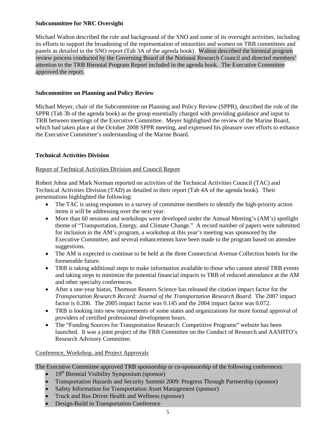### <span id="page-4-0"></span>**Subcommittee for NRC Oversight**

Michael Walton described the role and background of the SNO and some of its oversight activities, including its efforts to support the broadening of the representation of minorities and women on TRB committees and panels as detailed in the SNO report (Tab 3A of the agenda book). Walton described the biennial program review process conducted by the Governing Board of the National Research Council and directed members' attention to the TRB Biennial Program Report included in the agenda book. The Executive Committee approved the report.

### <span id="page-4-1"></span>**Subcommittee on Planning and Policy Review**

Michael Meyer, chair of the Subcommittee on Planning and Policy Review (SPPR), described the role of the SPPR (Tab 3b of the agenda book) as the group essentially charged with providing guidance and input to TRB between meetings of the Executive Committee. Meyer highlighted the review of the Marine Board, which had taken place at the October 2008 SPPR meeting, and expressed his pleasure over efforts to enhance the Executive Committee's understanding of the Marine Board.

### <span id="page-4-2"></span>**Technical Activities Division**

### <span id="page-4-3"></span>Report of Technical Activities Division and Council Report

Robert Johns and Mark Norman reported on activities of the Technical Activities Council (TAC) and Technical Activities Division (TAD) as detailed in their report (Tab 4A of the agenda book). Their presentations highlighted the following:

- The TAC is using responses to a survey of committee members to identify the high-priority action items it will be addressing over the next year.
- More than 60 sessions and workshops were developed under the Annual Meeting's (AM's) spotlight theme of "Transportation, Energy, and Climate Change." A record number of papers were submitted for inclusion in the AM's program, a workshop at this year's meeting was sponsored by the Executive Committee, and several enhancements have been made to the program based on attendee suggestions.
- The AM is expected to continue to be held at the three Connecticut Avenue Collection hotels for the foreseeable future.
- TRB is taking additional steps to make information available to those who cannot attend TRB events and taking steps to minimize the potential financial impacts to TRB of reduced attendance at the AM and other specialty conferences.
- After a one-year hiatus, Thomson Reuters Science has released the citation impact factor for the *Transportation Research Record: Journal of the Transportation Research Board*. The 2007 impact factor is 0.206. The 2005 impact factor was 0.145 and the 2004 impact factor was 0.072.
- TRB is looking into new requirements of some states and organizations for more formal approval of providers of certified professional development hours.
- The "Funding Sources for Transportation Research: Competitive Programs" website has been launched. It was a joint project of the TRB Committee on the Conduct of Research and AASHTO's Research Advisory Committee.

<span id="page-4-4"></span>Conference, Workshop, and Project Approvals

The Executive Committee approved TRB sponsorship or co-sponsorship of the following conferences:

- $19<sup>th</sup>$  Biennial Visibility Symposium (sponsor)
- Transportation Hazards and Security Summit 2009: Progress Through Partnership (sponsor)
- Safety Information for Transportation Asset Management (sponsor)
- Truck and Bus Driver Health and Wellness (sponsor)
- Design-Build in Transportation Conference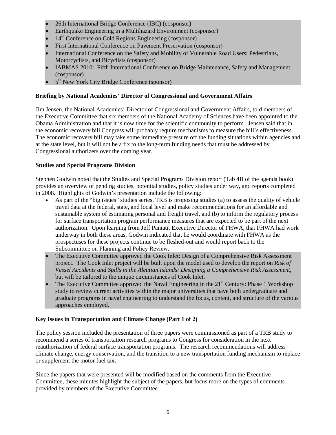- 26th International Bridge Conference (IBC) (cosponsor)
- Earthquake Engineering in a Multihazard Environment (cosponsor)
- 14<sup>th</sup> Conference on Cold Regions Engineering (cosponsor)
- First International Conference on Pavement Preservation (cosponsor)
- International Conference on the Safety and Mobility of Vulnerable Road Users: Pedestrians, Motorcyclists, and Bicyclists (cosponsor)
- IABMAS 2010: Fifth International Conference on Bridge Maintenance, Safety and Management (cosponsor)
- 5<sup>th</sup> New York City Bridge Conference (sponsor)

### <span id="page-5-0"></span>**Briefing by National Academies' Director of Congressional and Government Affairs**

Jim Jensen, the National Academies' Director of Congressional and Government Affairs, told members of the Executive Committee that six members of the National Academy of Sciences have been appointed to the Obama Administration and that it is now time for the scientific community to perform. Jensen said that in the economic recovery bill Congress will probably require mechanisms to measure the bill's effectiveness. The economic recovery bill may take some immediate pressure off the funding situations within agencies and at the state level, but it will not be a fix to the long-term funding needs that must be addressed by Congressional authorizers over the coming year.

### <span id="page-5-1"></span>**Studies and Special Programs Division**

Stephen Godwin noted that the Studies and Special Programs Division report (Tab 4B of the agenda book) provides an overview of pending studies, potential studies, policy studies under way, and reports completed in 2008. Highlights of Godwin's presentation include the following:

- As part of the "big issues" studies series, TRB is proposing studies (a) to assess the quality of vehicle travel data at the federal, state, and local level and make recommendations for an affordable and sustainable system of estimating personal and freight travel, and (b) to inform the regulatory process for surface transportation program performance measures that are expected to be part of the next authorization. Upon learning from Jeff Paniati, Executive Director of FHWA, that FHWA had work underway in both these areas, Godwin indicated that he would coordinate with FHWA as the prospectuses for these projects continue to be fleshed-out and would report back to the Subcommittee on Planning and Policy Review.
- The Executive Committee approved the Cook Inlet: Design of a Comprehensive Risk Assessment project. The Cook Inlet project will be built upon the model used to develop the report on *Risk of Vessel Accidents and Spills in the Aleutian Islands: Designing a Comprehensive Risk Assessment*, but will be tailored to the unique circumstances of Cook Inlet.
- The Executive Committee approved the Naval Engineering in the 21<sup>st</sup> Century: Phase 1 Workshop study to review current activities within the major universities that have both undergraduate and graduate programs in naval engineering to understand the focus, content, and structure of the various approaches employed.

## <span id="page-5-2"></span>**Key Issues in Transportation and Climate Change (Part 1 of 2)**

The policy session included the presentation of three papers were commissioned as part of a TRB study to recommend a series of transportation research programs to Congress for consideration in the next reauthorization of federal surface transportation programs. The research recommendations will address climate change, energy conservation, and the transition to a new transportation funding mechanism to replace or supplement the motor fuel tax.

Since the papers that were presented will be modified based on the comments from the Executive Committee, these minutes highlight the subject of the papers, but focus more on the types of comments provided by members of the Executive Committee.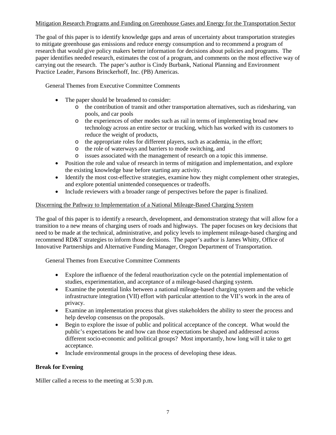## <span id="page-6-0"></span>Mitigation Research Programs and Funding on Greenhouse Gases and Energy for the Transportation Sector

The goal of this paper is to identify knowledge gaps and areas of uncertainty about transportation strategies to mitigate greenhouse gas emissions and reduce energy consumption and to recommend a program of research that would give policy makers better information for decisions about policies and programs. The paper identifies needed research, estimates the cost of a program, and comments on the most effective way of carrying out the research. The paper's author is Cindy Burbank, National Planning and Environment Practice Leader, Parsons Brinckerhoff, Inc. (PB) Americas.

General Themes from Executive Committee Comments

- The paper should be broadened to consider:
	- o the contribution of transit and other transportation alternatives, such as ridesharing, van pools, and car pools
	- o the experiences of other modes such as rail in terms of implementing broad new technology across an entire sector or trucking, which has worked with its customers to reduce the weight of products,
	- o the appropriate roles for different players, such as academia, in the effort;
	- o the role of waterways and barriers to mode switching, and
	- o issues associated with the management of research on a topic this immense.
- Position the role and value of research in terms of mitigation and implementation, and explore the existing knowledge base before starting any activity.
- Identify the most cost-effective strategies, examine how they might complement other strategies, and explore potential unintended consequences or tradeoffs.
- Include reviewers with a broader range of perspectives before the paper is finalized.

### <span id="page-6-1"></span>Discerning the Pathway to Implementation of a National Mileage-Based Charging System

The goal of this paper is to identify a research, development, and demonstration strategy that will allow for a transition to a new means of charging users of roads and highways. The paper focuses on key decisions that need to be made at the technical, administrative, and policy levels to implement mileage-based charging and recommend RD&T strategies to inform those decisions. The paper's author is James Whitty, Office of Innovative Partnerships and Alternative Funding Manager, Oregon Department of Transportation.

General Themes from Executive Committee Comments

- Explore the influence of the federal reauthorization cycle on the potential implementation of studies, experimentation, and acceptance of a mileage-based charging system.
- Examine the potential links between a national mileage-based charging system and the vehicle infrastructure integration (VII) effort with particular attention to the VII's work in the area of privacy.
- Examine an implementation process that gives stakeholders the ability to steer the process and help develop consensus on the proposals.
- Begin to explore the issue of public and political acceptance of the concept. What would the public's expectations be and how can those expectations be shaped and addressed across different socio-economic and political groups? Most importantly, how long will it take to get acceptance.
- Include environmental groups in the process of developing these ideas.

## <span id="page-6-2"></span>**Break for Evening**

Miller called a recess to the meeting at 5:30 p.m.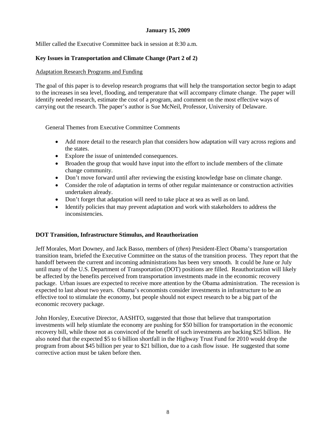## **January 15, 2009**

<span id="page-7-0"></span>Miller called the Executive Committee back in session at 8:30 a.m.

### <span id="page-7-1"></span>**Key Issues in Transportation and Climate Change (Part 2 of 2)**

#### <span id="page-7-2"></span>Adaptation Research Programs and Funding

The goal of this paper is to develop research programs that will help the transportation sector begin to adapt to the increases in sea level, flooding, and temperature that will accompany climate change. The paper will identify needed research, estimate the cost of a program, and comment on the most effective ways of carrying out the research. The paper's author is Sue McNeil, Professor, University of Delaware.

General Themes from Executive Committee Comments

- Add more detail to the research plan that considers how adaptation will vary across regions and the states.
- Explore the issue of unintended consequences.
- Broaden the group that would have input into the effort to include members of the climate change community.
- Don't move forward until after reviewing the existing knowledge base on climate change.
- Consider the role of adaptation in terms of other regular maintenance or construction activities undertaken already.
- Don't forget that adaptation will need to take place at sea as well as on land.
- Identify policies that may prevent adaptation and work with stakeholders to address the inconsistencies.

#### <span id="page-7-3"></span>**DOT Transition, Infrastructure Stimulus, and Reauthorization**

Jeff Morales, Mort Downey, and Jack Basso, members of (*then*) President-Elect Obama's transportation transition team, briefed the Executive Committee on the status of the transition process. They report that the handoff between the current and incoming administrations has been very smooth. It could be June or July until many of the U.S. Department of Transportation (DOT) positions are filled. Reauthorization will likely be affected by the benefits perceived from transportation investments made in the economic recovery package. Urban issues are expected to receive more attention by the Obama administration. The recession is expected to last about two years. Obama's economists consider investments in infrastructure to be an effective tool to stimulate the economy, but people should not expect research to be a big part of the economic recovery package.

John Horsley, Executive Director, AASHTO, suggested that those that believe that transportation investments will help stiumlate the economy are pushing for \$50 billion for transportation in the economic recovery bill, while those not as convinced of the benefit of such investments are backing \$25 billion. He also noted that the expected \$5 to 6 billion shortfall in the Highway Trust Fund for 2010 would drop the program from about \$45 billion per year to \$21 billion, due to a cash flow issue. He suggested that some corrective action must be taken before then.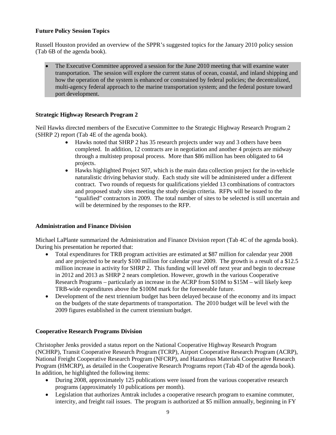### <span id="page-8-0"></span>**Future Policy Session Topics**

Russell Houston provided an overview of the SPPR's suggested topics for the January 2010 policy session (Tab 6B of the agenda book).

The Executive Committee approved a session for the June 2010 meeting that will examine water transportation. The session will explore the current status of ocean, coastal, and inland shipping and how the operation of the system is enhanced or constrained by federal policies; the decentralized, multi-agency federal approach to the marine transportation system; and the federal posture toward port development.

### <span id="page-8-1"></span>**Strategic Highway Research Program 2**

Neil Hawks directed members of the Executive Committee to the Strategic Highway Research Program 2 (SHRP 2) report (Tab 4E of the agenda book).

- Hawks noted that SHRP 2 has 35 research projects under way and 3 others have been completed. In addition, 12 contracts are in negotiation and another 4 projects are midway through a multistep proposal process. More than \$86 million has been obligated to 64 projects.
- Hawks highlighted Project S07, which is the main data collection project for the in-vehicle naturalistic driving behavior study. Each study site will be administered under a different contract. Two rounds of requests for qualifications yielded 13 combinations of contractors and proposed study sites meeting the study design criteria. RFPs will be issued to the "qualified" contractors in 2009. The total number of sites to be selected is still uncertain and will be determined by the responses to the RFP.

#### <span id="page-8-2"></span>**Administration and Finance Division**

Michael LaPlante summarized the Administration and Finance Division report (Tab 4C of the agenda book). During his presentation he reported that:

- Total expenditures for TRB program activities are estimated at \$87 million for calendar year 2008 and are projected to be nearly \$100 million for calendar year 2009. The growth is a result of a \$12.5 million increase in activity for SHRP 2. This funding will level off next year and begin to decrease in 2012 and 2013 as SHRP 2 nears completion. However, growth in the various Cooperative Research Programs – particularly an increase in the ACRP from \$10M to \$15M – will likely keep TRB-wide expenditures above the \$100M mark for the foreseeable future.
- Development of the next triennium budget has been delayed because of the economy and its impact on the budgets of the state departments of transportation. The 2010 budget will be level with the 2009 figures established in the current triennium budget.

#### <span id="page-8-3"></span>**Cooperative Research Programs Division**

Christopher Jenks provided a status report on the National Cooperative Highway Research Program (NCHRP), Transit Cooperative Research Program (TCRP), Airport Cooperative Research Program (ACRP), National Freight Cooperative Research Program (NFCRP), and Hazardous Materials Cooperative Research Program (HMCRP), as detailed in the Cooperative Research Programs report (Tab 4D of the agenda book). In addition, he highlighted the following items:

- During 2008, approximately 125 publications were issued from the various cooperative research programs (approximately 10 publications per month).
- Legislation that authorizes Amtrak includes a cooperative research program to examine commuter, intercity, and freight rail issues. The program is authorized at \$5 million annually, beginning in FY